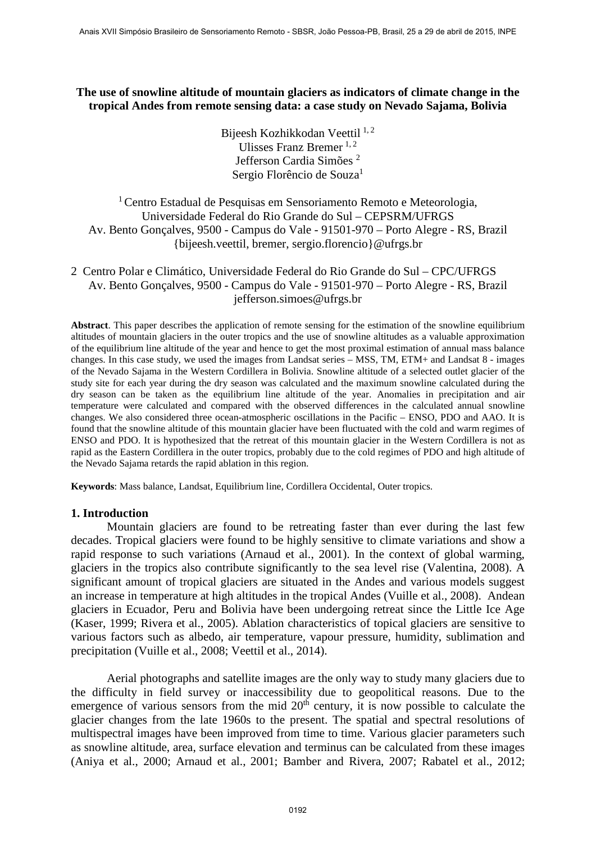## **The use of snowline altitude of mountain glaciers as indicators of climate change in the tropical Andes from remote sensing data: a case study on Nevado Sajama, Bolivia**

Bijeesh Kozhikkodan Veettil <sup>1, 2</sup> Ulisses Franz Bremer  $^{1, 2}$ Jefferson Cardia Simões <sup>2</sup> Sergio Florêncio de Souza<sup>1</sup>

## $1$ Centro Estadual de Pesquisas em Sensoriamento Remoto e Meteorologia, Universidade Federal do Rio Grande do Sul – CEPSRM/UFRGS Av. Bento Gonçalves, 9500 - Campus do Vale - 91501-970 – Porto Alegre - RS, Brazil {bijeesh.veettil, bremer, sergio.florencio}@ufrgs.br

2 Centro Polar e Climático, Universidade Federal do Rio Grande do Sul – CPC/UFRGS Av. Bento Gonçalves, 9500 - Campus do Vale - 91501-970 – Porto Alegre - RS, Brazil jefferson.simoes@ufrgs.br

**Abstract**. This paper describes the application of remote sensing for the estimation of the snowline equilibrium altitudes of mountain glaciers in the outer tropics and the use of snowline altitudes as a valuable approximation of the equilibrium line altitude of the year and hence to get the most proximal estimation of annual mass balance changes. In this case study, we used the images from Landsat series – MSS, TM, ETM+ and Landsat 8 - images of the Nevado Sajama in the Western Cordillera in Bolivia. Snowline altitude of a selected outlet glacier of the study site for each year during the dry season was calculated and the maximum snowline calculated during the dry season can be taken as the equilibrium line altitude of the year. Anomalies in precipitation and air temperature were calculated and compared with the observed differences in the calculated annual snowline changes. We also considered three ocean-atmospheric oscillations in the Pacific – ENSO, PDO and AAO. It is found that the snowline altitude of this mountain glacier have been fluctuated with the cold and warm regimes of ENSO and PDO. It is hypothesized that the retreat of this mountain glacier in the Western Cordillera is not as rapid as the Eastern Cordillera in the outer tropics, probably due to the cold regimes of PDO and high altitude of the Nevado Sajama retards the rapid ablation in this region.

**Keywords**: Mass balance, Landsat, Equilibrium line, Cordillera Occidental, Outer tropics.

## **1. Introduction**

Mountain glaciers are found to be retreating faster than ever during the last few decades. Tropical glaciers were found to be highly sensitive to climate variations and show a rapid response to such variations (Arnaud et al., 2001). In the context of global warming, glaciers in the tropics also contribute significantly to the sea level rise (Valentina, 2008). A significant amount of tropical glaciers are situated in the Andes and various models suggest an increase in temperature at high altitudes in the tropical Andes (Vuille et al., 2008). Andean glaciers in Ecuador, Peru and Bolivia have been undergoing retreat since the Little Ice Age (Kaser, 1999; Rivera et al., 2005). Ablation characteristics of topical glaciers are sensitive to various factors such as albedo, air temperature, vapour pressure, humidity, sublimation and precipitation (Vuille et al., 2008; Veettil et al., 2014).

Aerial photographs and satellite images are the only way to study many glaciers due to the difficulty in field survey or inaccessibility due to geopolitical reasons. Due to the emergence of various sensors from the mid  $20<sup>th</sup>$  century, it is now possible to calculate the glacier changes from the late 1960s to the present. The spatial and spectral resolutions of multispectral images have been improved from time to time. Various glacier parameters such as snowline altitude, area, surface elevation and terminus can be calculated from these images (Aniya et al., 2000; Arnaud et al., 2001; Bamber and Rivera, 2007; Rabatel et al., 2012;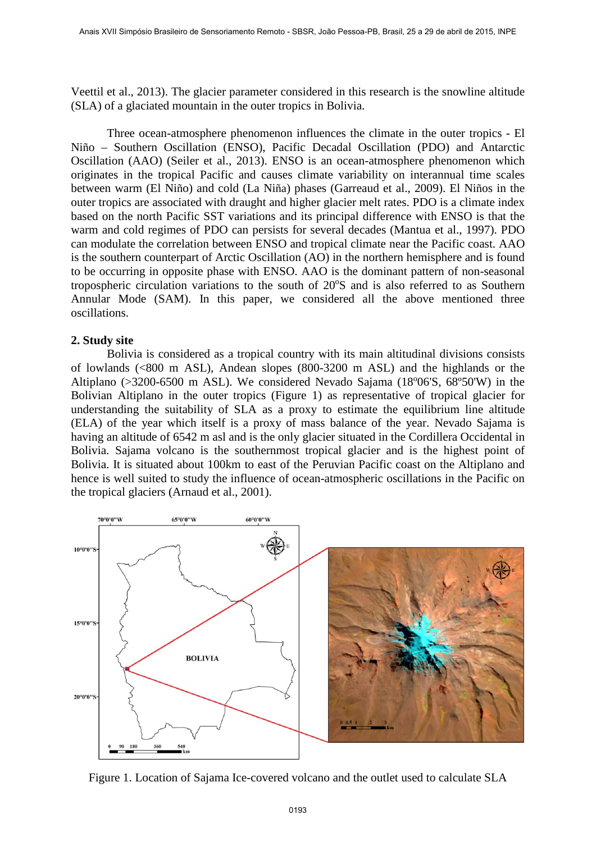Veettil et al., 2013). The glacier parameter considered in this research is the snowline altitude (SLA) of a glaciated mountain in the outer tropics in Bolivia.

Three ocean-atmosphere phenomenon influences the climate in the outer tropics - El Niño – Southern Oscillation (ENSO), Pacific Decadal Oscillation (PDO) and Antarctic Oscillation (AAO) (Seiler et al., 2013). ENSO is an ocean-atmosphere phenomenon which originates in the tropical Pacific and causes climate variability on interannual time scales between warm (El Niño) and cold (La Niña) phases (Garreaud et al., 2009). El Niños in the outer tropics are associated with draught and higher glacier melt rates. PDO is a climate index based on the north Pacific SST variations and its principal difference with ENSO is that the warm and cold regimes of PDO can persists for several decades (Mantua et al., 1997). PDO can modulate the correlation between ENSO and tropical climate near the Pacific coast. AAO is the southern counterpart of Arctic Oscillation (AO) in the northern hemisphere and is found to be occurring in opposite phase with ENSO. AAO is the dominant pattern of non-seasonal tropospheric circulation variations to the south of 20°S and is also referred to as Southern Annular Mode (SAM). In this paper, we considered all the above mentioned three oscillations.

## **2. Study site**

Bolivia is considered as a tropical country with its main altitudinal divisions consists of lowlands (<800 m ASL), Andean slopes (800-3200 m ASL) and the highlands or the Altiplano (>3200-6500 m ASL). We considered Nevado Sajama (18°06'S, 68°50'W) in the Bolivian Altiplano in the outer tropics (Figure 1) as representative of tropical glacier for understanding the suitability of SLA as a proxy to estimate the equilibrium line altitude (ELA) of the year which itself is a proxy of mass balance of the year. Nevado Sajama is having an altitude of 6542 m asl and is the only glacier situated in the Cordillera Occidental in Bolivia. Sajama volcano is the southernmost tropical glacier and is the highest point of Bolivia. It is situated about 100km to east of the Peruvian Pacific coast on the Altiplano and hence is well suited to study the influence of ocean-atmospheric oscillations in the Pacific on the tropical glaciers (Arnaud et al., 2001).



Figure 1. Location of Sajama Ice-covered volcano and the outlet used to calculate SLA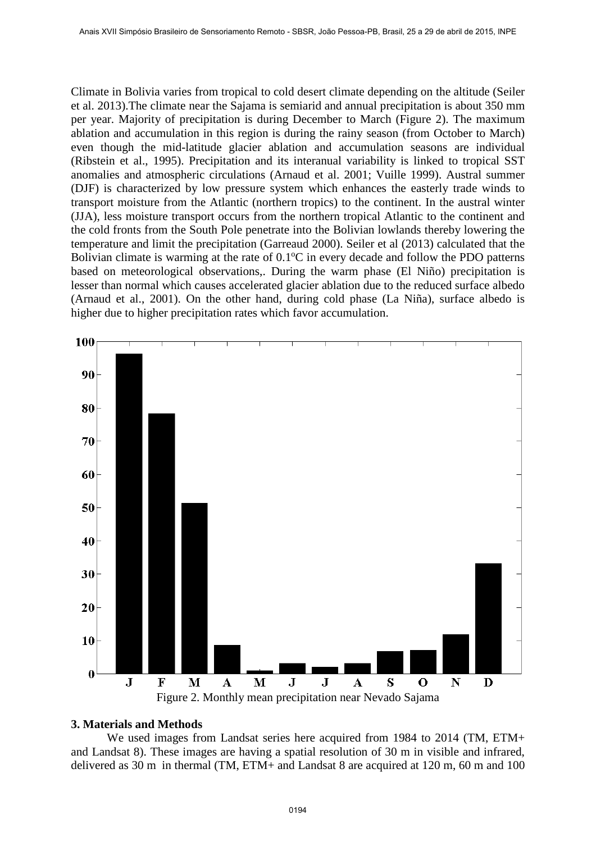Climate in Bolivia varies from tropical to cold desert climate depending on the altitude (Seiler et al. 2013).The climate near the Sajama is semiarid and annual precipitation is about 350 mm per year. Majority of precipitation is during December to March (Figure 2). The maximum ablation and accumulation in this region is during the rainy season (from October to March) even though the mid-latitude glacier ablation and accumulation seasons are individual (Ribstein et al., 1995). Precipitation and its interanual variability is linked to tropical SST anomalies and atmospheric circulations (Arnaud et al. 2001; Vuille 1999). Austral summer (DJF) is characterized by low pressure system which enhances the easterly trade winds to transport moisture from the Atlantic (northern tropics) to the continent. In the austral winter (JJA), less moisture transport occurs from the northern tropical Atlantic to the continent and the cold fronts from the South Pole penetrate into the Bolivian lowlands thereby lowering the temperature and limit the precipitation (Garreaud 2000). Seiler et al (2013) calculated that the Bolivian climate is warming at the rate of  $0.1^{\circ}$ C in every decade and follow the PDO patterns based on meteorological observations,. During the warm phase (El Niño) precipitation is lesser than normal which causes accelerated glacier ablation due to the reduced surface albedo (Arnaud et al., 2001). On the other hand, during cold phase (La Niña), surface albedo is higher due to higher precipitation rates which favor accumulation.



#### **3. Materials and Methods**

We used images from Landsat series here acquired from 1984 to 2014 (TM, ETM+ and Landsat 8). These images are having a spatial resolution of 30 m in visible and infrared, delivered as 30 m in thermal (TM, ETM+ and Landsat 8 are acquired at 120 m, 60 m and 100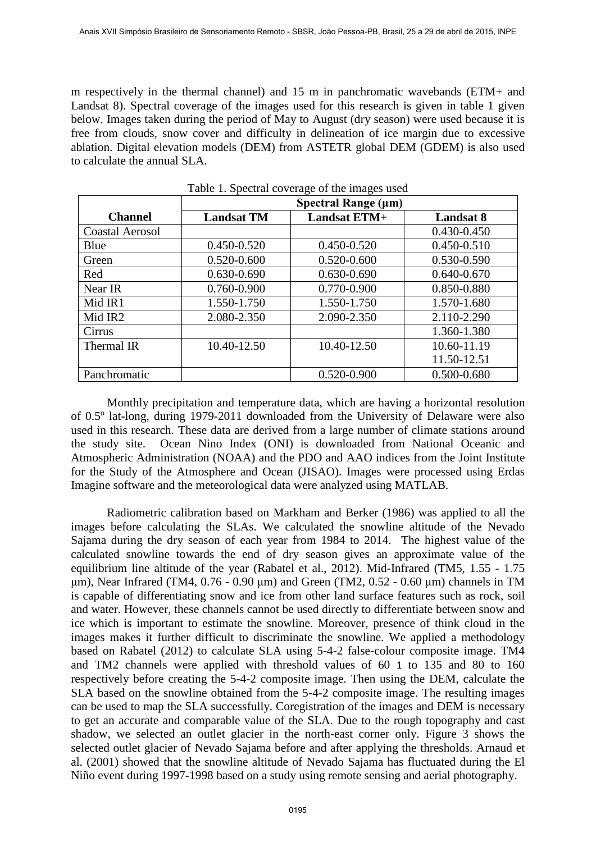m respectively in the thermal channel) and 15 m in panchromatic wavebands (ETM+ and Landsat 8). Spectral coverage of the images used for this research is given in table 1 given below. Images taken during the period of May to August (dry season) were used because it is free from clouds, snow cover and difficulty in delineation of ice margin due to excessive ablation. Digital elevation models (DEM) from ASTETR global DEM (GDEM) is also used to calculate the annual SLA.

|                        | Spectral Range (µm) |                     |                  |
|------------------------|---------------------|---------------------|------------------|
| <b>Channel</b>         | <b>Landsat TM</b>   | <b>Landsat ETM+</b> | <b>Landsat 8</b> |
| <b>Coastal Aerosol</b> |                     |                     | 0.430-0.450      |
| Blue                   | 0.450-0.520         | 0.450-0.520         | 0.450-0.510      |
| Green                  | 0.520-0.600         | 0.520-0.600         | 0.530-0.590      |
| Red                    | $0.630 - 0.690$     | $0.630 - 0.690$     | $0.640 - 0.670$  |
| Near IR                | 0.760-0.900         | 0.770-0.900         | 0.850-0.880      |
| Mid IR1                | 1.550-1.750         | 1.550-1.750         | 1.570-1.680      |
| Mid IR2                | 2.080-2.350         | 2.090-2.350         | 2.110-2.290      |
| Cirrus                 |                     |                     | 1.360-1.380      |
| Thermal IR             | 10.40-12.50         | 10.40-12.50         | 10.60-11.19      |
|                        |                     |                     | 11.50-12.51      |
| Panchromatic           |                     | 0.520-0.900         | 0.500-0.680      |

Table 1. Spectral coverage of the images used

Monthly precipitation and temperature data, which are having a horizontal resolution of 0.5<sup>o</sup> lat-long, during 1979-2011 downloaded from the University of Delaware were also used in this research. These data are derived from a large number of climate stations around the study site. Ocean Nino Index (ONI) is downloaded from National Oceanic and Atmospheric Administration (NOAA) and the PDO and AAO indices from the Joint Institute for the Study of the Atmosphere and Ocean (JISAO). Images were processed using Erdas Imagine software and the meteorological data were analyzed using MATLAB.

Radiometric calibration based on Markham and Berker (1986) was applied to all the images before calculating the SLAs. We calculated the snowline altitude of the Nevado Sajama during the dry season of each year from 1984 to 2014. The highest value of the calculated snowline towards the end of dry season gives an approximate value of the equilibrium line altitude of the year (Rabatel et al., 2012). Mid-Infrared (TM5, 1.55 - 1.75 μm), Near Infrared (TM4, 0.76 - 0.90 μm) and Green (TM2, 0.52 - 0.60 μm) channels in TM is capable of differentiating snow and ice from other land surface features such as rock, soil and water. However, these channels cannot be used directly to differentiate between snow and ice which is important to estimate the snowline. Moreover, presence of think cloud in the images makes it further difficult to discriminate the snowline. We applied a methodology based on Rabatel (2012) to calculate SLA using 5-4-2 false-colour composite image. TM4 and TM2 channels were applied with threshold values of 60 1 to 135 and 80 to 160 respectively before creating the 5-4-2 composite image. Then using the DEM, calculate the SLA based on the snowline obtained from the 5-4-2 composite image. The resulting images can be used to map the SLA successfully. Coregistration of the images and DEM is necessary to get an accurate and comparable value of the SLA. Due to the rough topography and cast shadow, we selected an outlet glacier in the north-east corner only. Figure 3 shows the selected outlet glacier of Nevado Sajama before and after applying the thresholds. Arnaud et al. (2001) showed that the snowline altitude of Nevado Sajama has fluctuated during the El Niño event during 1997-1998 based on a study using remote sensing and aerial photography.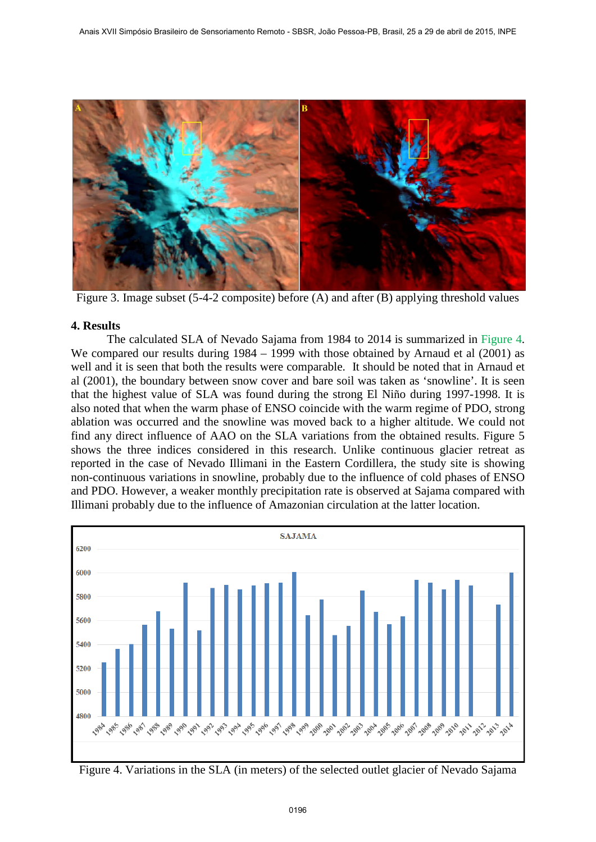

Figure 3. Image subset (5-4-2 composite) before (A) and after (B) applying threshold values

# **4. Results**

The calculated SLA of Nevado Sajama from 1984 to 2014 is summarized in Figure 4. We compared our results during 1984 – 1999 with those obtained by Arnaud et al (2001) as well and it is seen that both the results were comparable. It should be noted that in Arnaud et al (2001), the boundary between snow cover and bare soil was taken as 'snowline'. It is seen that the highest value of SLA was found during the strong El Niño during 1997-1998. It is also noted that when the warm phase of ENSO coincide with the warm regime of PDO, strong ablation was occurred and the snowline was moved back to a higher altitude. We could not find any direct influence of AAO on the SLA variations from the obtained results. Figure 5 shows the three indices considered in this research. Unlike continuous glacier retreat as reported in the case of Nevado Illimani in the Eastern Cordillera, the study site is showing non-continuous variations in snowline, probably due to the influence of cold phases of ENSO and PDO. However, a weaker monthly precipitation rate is observed at Sajama compared with Illimani probably due to the influence of Amazonian circulation at the latter location.



Figure 4. Variations in the SLA (in meters) of the selected outlet glacier of Nevado Sajama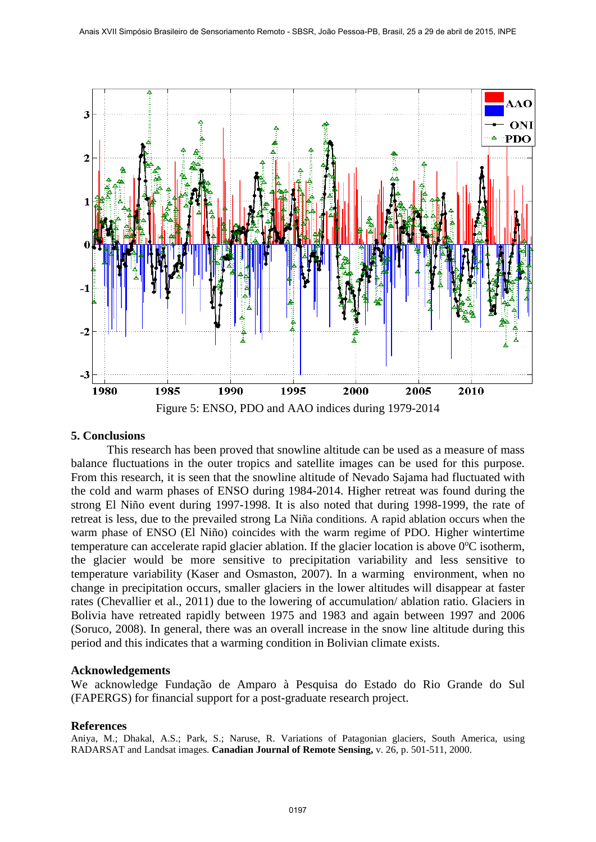

## **5. Conclusions**

This research has been proved that snowline altitude can be used as a measure of mass balance fluctuations in the outer tropics and satellite images can be used for this purpose. From this research, it is seen that the snowline altitude of Nevado Sajama had fluctuated with the cold and warm phases of ENSO during 1984-2014. Higher retreat was found during the strong El Niño event during 1997-1998. It is also noted that during 1998-1999, the rate of retreat is less, due to the prevailed strong La Niña conditions. A rapid ablation occurs when the warm phase of ENSO (El Niño) coincides with the warm regime of PDO. Higher wintertime temperature can accelerate rapid glacier ablation. If the glacier location is above 0°C isotherm, the glacier would be more sensitive to precipitation variability and less sensitive to temperature variability (Kaser and Osmaston, 2007). In a warming environment, when no change in precipitation occurs, smaller glaciers in the lower altitudes will disappear at faster rates (Chevallier et al., 2011) due to the lowering of accumulation/ ablation ratio. Glaciers in Bolivia have retreated rapidly between 1975 and 1983 and again between 1997 and 2006 (Soruco, 2008). In general, there was an overall increase in the snow line altitude during this period and this indicates that a warming condition in Bolivian climate exists.

## **Acknowledgements**

We acknowledge Fundação de Amparo à Pesquisa do Estado do Rio Grande do Sul (FAPERGS) for financial support for a post-graduate research project.

## **References**

Aniya, M.; Dhakal, A.S.; Park, S.; Naruse, R. Variations of Patagonian glaciers, South America, using RADARSAT and Landsat images. **Canadian Journal of Remote Sensing,** v. 26, p. 501-511, 2000.